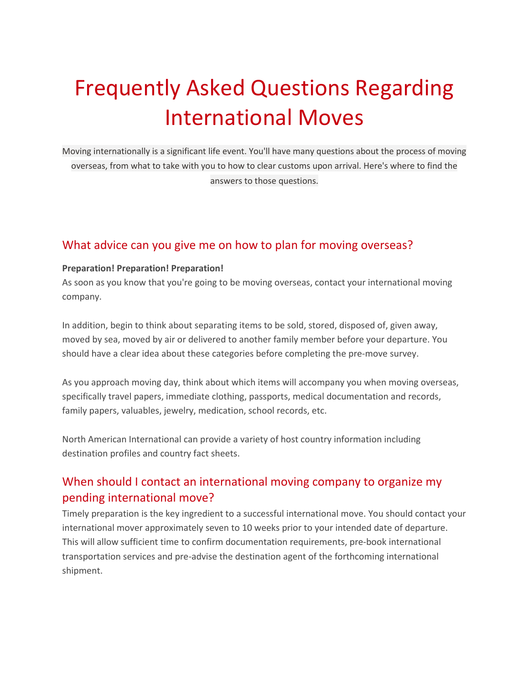# Frequently Asked Questions Regarding International Moves

Moving internationally is a significant life event. You'll have many questions about the process of moving overseas, from what to take with you to how to clear customs upon arrival. Here's where to find the answers to those questions.

#### What advice can you give me on how to plan for moving overseas?

#### **Preparation! Preparation! Preparation!**

As soon as you know that you're going to be moving overseas, contact your international moving company.

In addition, begin to think about separating items to be sold, stored, disposed of, given away, moved by sea, moved by air or delivered to another family member before your departure. You should have a clear idea about these categories before completing the pre-move survey.

As you approach moving day, think about which items will accompany you when moving overseas, specifically travel papers, immediate clothing, passports, medical documentation and records, family papers, valuables, jewelry, medication, school records, etc.

North American International can provide a variety of host country information including destination profiles and country fact sheets.

## When should I contact an international moving company to organize my pending international move?

Timely preparation is the key ingredient to a successful international move. You should contact your international mover approximately seven to 10 weeks prior to your intended date of departure. This will allow sufficient time to confirm documentation requirements, pre-book international transportation services and pre-advise the destination agent of the forthcoming international shipment.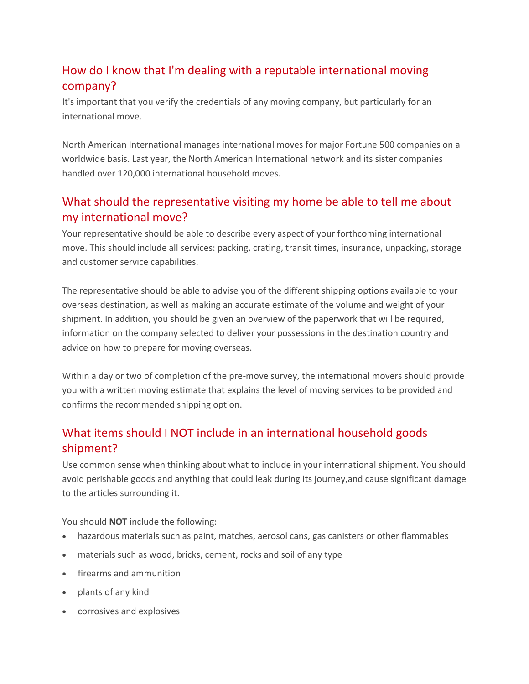## How do I know that I'm dealing with a reputable international moving company?

It's important that you verify the credentials of any moving company, but particularly for an international move.

North American International manages international moves for major Fortune 500 companies on a worldwide basis. Last year, the North American International network and its sister companies handled over 120,000 international household moves.

## What should the representative visiting my home be able to tell me about my international move?

Your representative should be able to describe every aspect of your forthcoming international move. This should include all services: packing, crating, transit times, insurance, unpacking, storage and customer service capabilities.

The representative should be able to advise you of the different shipping options available to your overseas destination, as well as making an accurate estimate of the volume and weight of your shipment. In addition, you should be given an overview of the paperwork that will be required, information on the company selected to deliver your possessions in the destination country and advice on how to prepare for moving overseas.

Within a day or two of completion of the pre-move survey, the international movers should provide you with a written moving estimate that explains the level of moving services to be provided and confirms the recommended shipping option.

## What items should I NOT include in an international household goods shipment?

Use common sense when thinking about what to include in your international shipment. You should avoid perishable goods and anything that could leak during its journey,and cause significant damage to the articles surrounding it.

You should **NOT** include the following:

- hazardous materials such as paint, matches, aerosol cans, gas canisters or other flammables
- materials such as wood, bricks, cement, rocks and soil of any type
- firearms and ammunition
- plants of any kind
- corrosives and explosives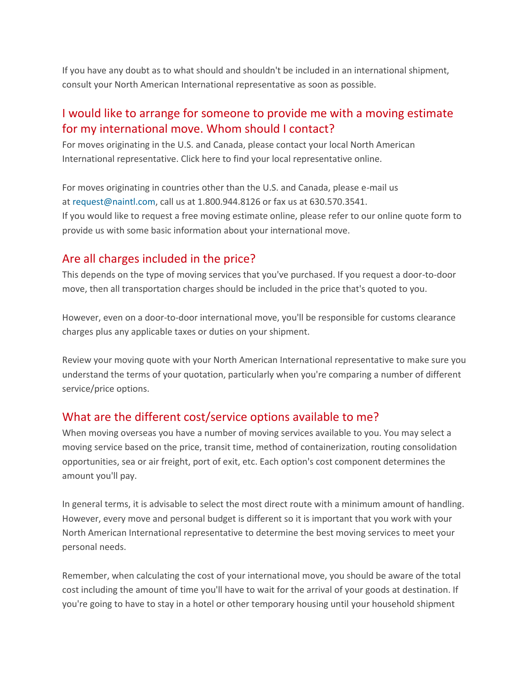If you have any doubt as to what should and shouldn't be included in an international shipment, consult your North American International representative as soon as possible.

#### I would like to arrange for someone to provide me with a moving estimate for my international move. Whom should I contact?

For moves originating in the U.S. and Canada, please contact your local North American International representative. Click here to find your local representative online.

For moves originating in countries other than the U.S. and Canada, please e-mail us at [request@naintl.com,](http://www.northamerican.com/international-moving/frequently-asked-questions) call us at 1.800.944.8126 or fax us at 630.570.3541. If you would like to request a free moving estimate online, please refer to our online quote form to provide us with some basic information about your international move.

#### Are all charges included in the price?

This depends on the type of moving services that you've purchased. If you request a door-to-door move, then all transportation charges should be included in the price that's quoted to you.

However, even on a door-to-door international move, you'll be responsible for customs clearance charges plus any applicable taxes or duties on your shipment.

Review your moving quote with your North American International representative to make sure you understand the terms of your quotation, particularly when you're comparing a number of different service/price options.

### What are the different cost/service options available to me?

When moving overseas you have a number of moving services available to you. You may select a moving service based on the price, transit time, method of containerization, routing consolidation opportunities, sea or air freight, port of exit, etc. Each option's cost component determines the amount you'll pay.

In general terms, it is advisable to select the most direct route with a minimum amount of handling. However, every move and personal budget is different so it is important that you work with your North American International representative to determine the best moving services to meet your personal needs.

Remember, when calculating the cost of your international move, you should be aware of the total cost including the amount of time you'll have to wait for the arrival of your goods at destination. If you're going to have to stay in a hotel or other temporary housing until your household shipment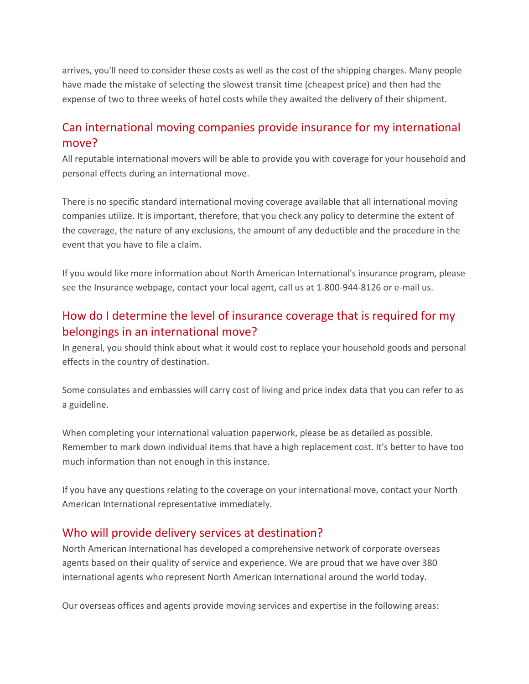arrives, you'll need to consider these costs as well as the cost of the shipping charges. Many people have made the mistake of selecting the slowest transit time (cheapest price) and then had the expense of two to three weeks of hotel costs while they awaited the delivery of their shipment.

### Can international moving companies provide insurance for my international move?

All reputable international movers will be able to provide you with coverage for your household and personal effects during an international move.

There is no specific standard international moving coverage available that all international moving companies utilize. It is important, therefore, that you check any policy to determine the extent of the coverage, the nature of any exclusions, the amount of any deductible and the procedure in the event that you have to file a claim.

If you would like more information about North American International's insurance program, please see the Insurance webpage, contact your local agent, call us at 1-800-944-8126 or e-mail us.

## How do I determine the level of insurance coverage that is required for my belongings in an international move?

In general, you should think about what it would cost to replace your household goods and personal effects in the country of destination.

Some consulates and embassies will carry cost of living and price index data that you can refer to as a guideline.

When completing your international valuation paperwork, please be as detailed as possible. Remember to mark down individual items that have a high replacement cost. It's better to have too much information than not enough in this instance.

If you have any questions relating to the coverage on your international move, contact your North American International representative immediately.

#### Who will provide delivery services at destination?

North American International has developed a comprehensive network of corporate overseas agents based on their quality of service and experience. We are proud that we have over 380 international agents who represent North American International around the world today.

Our overseas offices and agents provide moving services and expertise in the following areas: